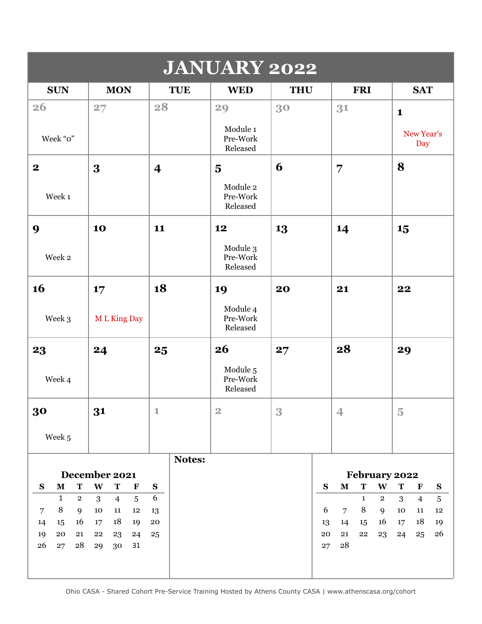| <b>JANUARY 2022</b>            |                                                   |                                 |                                  |            |                                                        |                                                                    |  |  |  |  |  |
|--------------------------------|---------------------------------------------------|---------------------------------|----------------------------------|------------|--------------------------------------------------------|--------------------------------------------------------------------|--|--|--|--|--|
| <b>SUN</b>                     | <b>MON</b>                                        | <b>TUE</b>                      | <b>WED</b>                       | <b>THU</b> | <b>FRI</b>                                             | <b>SAT</b>                                                         |  |  |  |  |  |
| 26                             | 27                                                | 28                              | 29                               | 30         | 31                                                     | $\mathbf{1}$                                                       |  |  |  |  |  |
| Week "o"                       |                                                   |                                 | Module 1<br>Pre-Work<br>Released |            |                                                        | New Year's<br>Day                                                  |  |  |  |  |  |
| $\boldsymbol{2}$               | 3                                                 | $\overline{\mathbf{4}}$         | $\overline{\mathbf{5}}$          | 6          | 7                                                      | 8                                                                  |  |  |  |  |  |
| Week 1                         |                                                   |                                 | Module 2<br>Pre-Work<br>Released |            |                                                        |                                                                    |  |  |  |  |  |
| 9                              | 10                                                | 11                              | 12                               | 13         | 14                                                     | 15                                                                 |  |  |  |  |  |
| Week 2                         |                                                   |                                 | Module 3<br>Pre-Work<br>Released |            |                                                        |                                                                    |  |  |  |  |  |
| 16                             | 17                                                | 18                              | 19                               | 20         | 21                                                     | 22                                                                 |  |  |  |  |  |
| Week 3                         | <b>ML King Day</b>                                |                                 | Module 4<br>Pre-Work<br>Released |            |                                                        |                                                                    |  |  |  |  |  |
| 23                             | 24                                                | 25                              | 26                               | 27         | 28                                                     | 29                                                                 |  |  |  |  |  |
| Week 4                         |                                                   |                                 | Module 5<br>Pre-Work<br>Released |            |                                                        |                                                                    |  |  |  |  |  |
| 30                             | 31                                                | $\mathbf 1$                     | $\overline{2}$                   | 3          | 4                                                      | $\overline{5}$                                                     |  |  |  |  |  |
| Week 5                         |                                                   |                                 |                                  |            |                                                        |                                                                    |  |  |  |  |  |
|                                |                                                   | Notes:                          |                                  |            |                                                        |                                                                    |  |  |  |  |  |
| T<br>$\mathbf M$<br>S          | December 2021<br>$\mathbf{W}$<br>$\mathbf T$      |                                 |                                  |            | February 2022<br>$\mathbf M$<br>T<br>W<br>$\mathbf{s}$ | T                                                                  |  |  |  |  |  |
| $\mathbf{1}$<br>$\overline{2}$ | $\bf{F}$<br>3<br>$\overline{4}$<br>$\overline{5}$ | $\mathbf{s}$<br>$6\phantom{.}6$ |                                  |            | $\overline{2}$<br>$\mathbf{1}$                         | $\mathbf{F}$<br>${\bf S}$<br>3<br>$\overline{5}$<br>$\overline{4}$ |  |  |  |  |  |
| $\, 8$<br>$\overline{7}$<br>9  | $10\,$<br>${\bf 11}$<br>12                        | 13                              |                                  |            | 6<br>$\,8\,$<br>$\overline{7}$<br>9                    | $10\,$<br>12<br>11                                                 |  |  |  |  |  |
| 16<br>15<br>14                 | 18<br>17<br>19                                    | ${\bf 20}$                      |                                  |            | 16<br>14<br>13<br>15                                   | 18<br>17<br>19                                                     |  |  |  |  |  |
| 19<br>${\bf 20}$<br>21         | ${\bf 22}$<br>23<br>24                            | 25                              |                                  |            | 20<br>21<br>22<br>23                                   | 26<br>24<br>25                                                     |  |  |  |  |  |
| 26<br>28<br>27                 | 31<br>29<br>30                                    |                                 |                                  |            | 28<br>27                                               |                                                                    |  |  |  |  |  |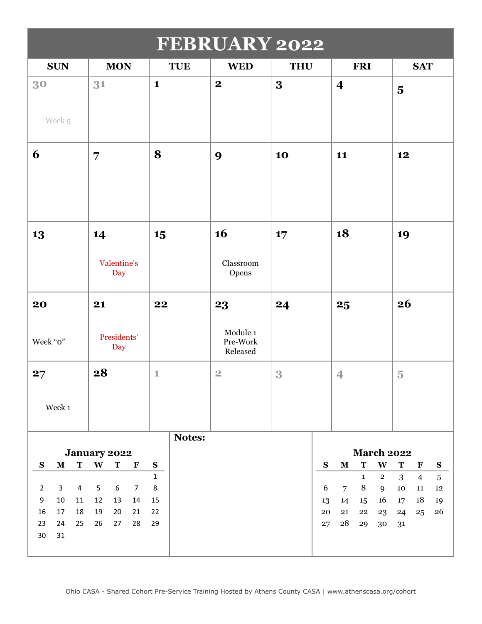| <b>FEBRUARY 2022</b>                             |                                                        |               |                                  |            |                                                               |                                          |  |  |  |  |
|--------------------------------------------------|--------------------------------------------------------|---------------|----------------------------------|------------|---------------------------------------------------------------|------------------------------------------|--|--|--|--|
| <b>SUN</b>                                       | <b>MON</b>                                             | <b>TUE</b>    | <b>WED</b>                       | <b>THU</b> | <b>FRI</b>                                                    | <b>SAT</b>                               |  |  |  |  |
| 30                                               | 31                                                     | $\mathbf{1}$  | $\boldsymbol{2}$                 | 3          | $\overline{\mathbf{4}}$                                       | $\overline{\mathbf{5}}$                  |  |  |  |  |
| Week 5                                           |                                                        |               |                                  |            |                                                               |                                          |  |  |  |  |
| 6                                                | $\overline{7}$                                         | 8             | 9                                | 10         | 11                                                            | 12                                       |  |  |  |  |
|                                                  |                                                        |               |                                  |            |                                                               |                                          |  |  |  |  |
| 13                                               | 14                                                     | 15            | 16                               | 17         | 18                                                            | 19                                       |  |  |  |  |
|                                                  | Valentine's<br>Day                                     |               | Classroom<br>Opens               |            |                                                               |                                          |  |  |  |  |
| 20                                               | 21                                                     | 22            | 23                               | 24         | 25                                                            | 26                                       |  |  |  |  |
| Week "o"                                         | Presidents'<br>Day                                     |               | Module 1<br>Pre-Work<br>Released |            |                                                               |                                          |  |  |  |  |
| 27                                               | 28                                                     | $\mathbbm{1}$ | $\overline{2}$                   | 3          | $\overline{4}$                                                | $\overline{5}$                           |  |  |  |  |
| Week 1                                           |                                                        |               |                                  |            |                                                               |                                          |  |  |  |  |
|                                                  |                                                        | Notes:        |                                  |            |                                                               |                                          |  |  |  |  |
| T<br>${\bf M}$<br>S                              | <b>January 2022</b><br>W<br>$\mathbf T$<br>$\mathbf F$ | ${\bf S}$     |                                  | ${\bf S}$  | <b>March 2022</b><br>$\mathbf T$<br>$\mathbf{W}$<br>${\bf M}$ | $\mathbf T$<br>${\bf S}$<br>$\mathbf{F}$ |  |  |  |  |
|                                                  |                                                        | $\mathbf{1}$  |                                  |            | $\mathbf{1}$<br>$\mathbf{2}$                                  | 3<br>$\sqrt{5}$<br>$\overline{4}$        |  |  |  |  |
| $\mathbf{3}$<br>$\overline{4}$<br>$\overline{2}$ | 5<br>6<br>$\overline{7}$                               | $\,8\,$       |                                  | 6          | 8<br>$\overline{7}$<br>9                                      | 10<br>${\bf 11}$<br>12                   |  |  |  |  |
| 9<br>10<br>11                                    | 12<br>13<br>14                                         | 15            |                                  | 13         | 16<br>14<br>15 <sub>15</sub>                                  | 18<br>17<br>19                           |  |  |  |  |
| 17<br>18<br>16<br>24<br>25<br>23<br>30<br>31     | 19<br>20<br>21<br>26<br>27<br>28                       | 22<br>29      |                                  | 20<br>27   | 21<br>22<br>23<br>28<br>29<br>30                              | 26<br>24<br>25<br>31                     |  |  |  |  |
|                                                  |                                                        |               |                                  |            |                                                               |                                          |  |  |  |  |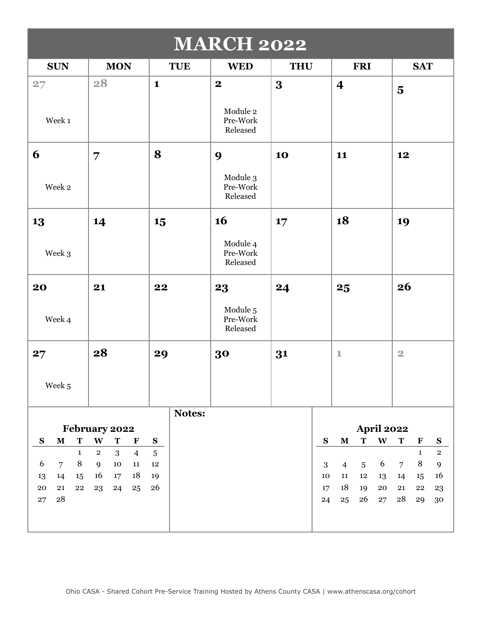| <b>MARCH 2022</b>                               |                                                                          |                         |                                  |            |           |                         |                 |                   |                         |                             |                           |
|-------------------------------------------------|--------------------------------------------------------------------------|-------------------------|----------------------------------|------------|-----------|-------------------------|-----------------|-------------------|-------------------------|-----------------------------|---------------------------|
| <b>SUN</b>                                      | <b>MON</b>                                                               | <b>TUE</b>              | <b>WED</b>                       | <b>THU</b> |           |                         | <b>FRI</b>      |                   |                         | <b>SAT</b>                  |                           |
| 27                                              | 28                                                                       | $\mathbf{1}$            | $\overline{\mathbf{2}}$          | 3          |           | $\overline{\mathbf{4}}$ |                 |                   | $\overline{\mathbf{5}}$ |                             |                           |
| Week 1                                          |                                                                          |                         | Module 2<br>Pre-Work<br>Released |            |           |                         |                 |                   |                         |                             |                           |
| 6                                               | 7                                                                        | 8                       | 9                                | 10         |           | 11                      |                 |                   | 12                      |                             |                           |
| Week 2                                          |                                                                          |                         | Module 3<br>Pre-Work<br>Released |            |           |                         |                 |                   |                         |                             |                           |
| 13                                              | 14                                                                       | 15                      | 16                               | 17         |           | 18                      |                 |                   | 19                      |                             |                           |
| Week 3                                          |                                                                          |                         | Module 4<br>Pre-Work<br>Released |            |           |                         |                 |                   |                         |                             |                           |
| 20                                              | 21                                                                       | 22                      | 23                               | 24         |           | 25                      |                 |                   | 26                      |                             |                           |
| Week 4                                          |                                                                          |                         | Module 5<br>Pre-Work<br>Released |            |           |                         |                 |                   |                         |                             |                           |
| 27                                              | 28                                                                       | 29                      | 30                               | 31         |           | $\mathbf{1}$            |                 |                   | $\overline{2}$          |                             |                           |
| Week 5                                          |                                                                          |                         |                                  |            |           |                         |                 |                   |                         |                             |                           |
|                                                 |                                                                          | Notes:                  |                                  |            |           |                         |                 |                   |                         |                             |                           |
|                                                 | February 2022                                                            |                         |                                  |            |           |                         |                 | <b>April 2022</b> |                         |                             |                           |
| $\mathbf T$<br>S<br>$\mathbf M$<br>$\mathbf{1}$ | W<br>$\mathbf T$<br>$\mathbf F$<br>$\overline{2}$<br>3<br>$\overline{4}$ | ${\bf S}$<br>$\sqrt{5}$ |                                  |            | ${\bf S}$ | ${\bf M}$               | $\mathbf T$     | $\mathbf{W}$      | $\mathbf T$             | $\mathbf F$<br>$\mathbf{1}$ | ${\bf S}$<br>$\mathbf{2}$ |
| $\,8\,$<br>6<br>$\overline{7}$                  | $10\,$<br>9<br>11                                                        | 12                      |                                  |            | 3         | $\overline{4}$          | $5\phantom{.0}$ | 6                 | $\overline{7}$          | $\,8\,$                     | $\mathbf{9}$              |
| 14<br>13<br>15                                  | 16<br>18<br>17                                                           | 19                      |                                  |            | 10        | ${\bf 11}$              | $12\,$          | 13                | 14                      | 15                          | 16                        |
| 20<br>21<br>${\bf 22}$                          | 23<br>24<br>25                                                           | 26                      |                                  |            | 17        | 18                      | 19              | ${\bf 20}$        | ${\bf 21}$              | ${\bf 22}$                  | $\bf{^{23}}$              |
| ${\bf 28}$<br>27                                |                                                                          |                         |                                  |            | 24        | 25                      | 26              | 27                | 28                      | 29                          | $30\,$                    |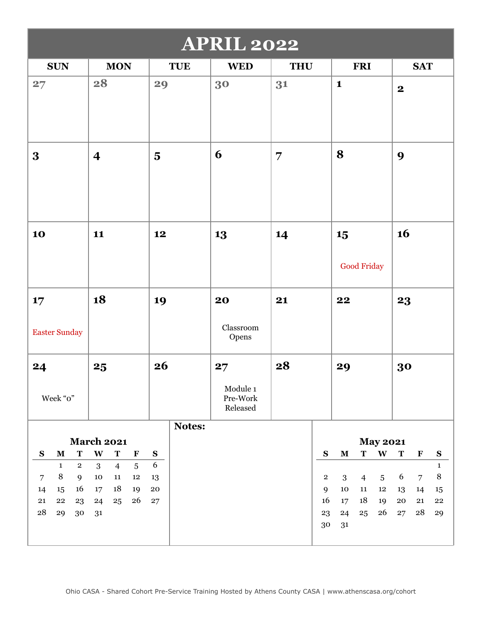| <b>APRIL 2022</b>                                |                             |                |                         |            |                                  |                |              |              |                |                 |              |                |                  |
|--------------------------------------------------|-----------------------------|----------------|-------------------------|------------|----------------------------------|----------------|--------------|--------------|----------------|-----------------|--------------|----------------|------------------|
| <b>SUN</b>                                       | <b>MON</b>                  |                |                         | <b>TUE</b> | <b>WED</b>                       | <b>THU</b>     |              |              | <b>FRI</b>     |                 |              | <b>SAT</b>     |                  |
| 27                                               | 28                          |                | 29                      |            | 30                               | 31             |              | $\mathbf{1}$ |                |                 | $\mathbf{2}$ |                |                  |
| 3                                                | $\overline{\mathbf{4}}$     |                | $\overline{\mathbf{5}}$ |            | 6                                | $\overline{7}$ |              | 8            |                |                 | 9            |                |                  |
| 10                                               | 11                          |                | 12                      |            | 13                               | 14             |              | 15           | Good Friday    |                 | 16           |                |                  |
| 17                                               | 18                          |                | 19                      |            | 20                               | 21             |              | 22           |                |                 | 23           |                |                  |
| <b>Easter Sunday</b>                             |                             |                |                         |            | Classroom<br>Opens               |                |              |              |                |                 |              |                |                  |
| 24                                               | 25                          |                | 26                      |            | 27                               | 28             |              | 29           |                |                 | 30           |                |                  |
| Week "o"                                         |                             |                |                         |            | Module 1<br>Pre-Work<br>Released |                |              |              |                |                 |              |                |                  |
|                                                  | <b>March 2021</b>           |                |                         | Notes:     |                                  |                |              |              |                | <b>May 2021</b> |              |                |                  |
| $\mathbf T$<br>${\bf S}$<br>${\bf M}$            | $\mathbf{W}$<br>$\mathbf T$ | $\mathbf F$    | $\mathbf{s}$            |            |                                  |                | ${\bf S}$    | ${\bf M}$    | T              | $\mathbf{W}$    | $\mathbf T$  | $\mathbf F$    | ${\bf S}$        |
| $\mathbf{1}$<br>$\overline{2}$                   | 3<br>$\overline{4}$         | $\overline{5}$ | $6\,$                   |            |                                  |                |              |              |                |                 |              |                | $\mathbf{1}$     |
| 8<br>9<br>$\overline{7}$                         | $10\,$<br>11                | $12\,$         | 13                      |            |                                  |                | $\mathbf{2}$ | 3            | $\overline{4}$ | $\overline{5}$  | 6            | $\overline{7}$ | $\, 8$           |
| 16<br>14<br>15                                   | 18<br>17                    | 19             | ${\bf 20}$              |            |                                  |                | 9            | 10           | 11             | $12\,$          | 13           | 14             | 15               |
| 21<br>${\bf 22}$<br>23<br>${\bf 28}$<br>29<br>30 | 24<br>25<br>31              | 26             | ${\bf 27}$              |            |                                  |                | 16<br>23     | 17<br>24     | 18<br>25       | 19<br>26        | 20<br>27     | 21<br>28       | ${\bf 22}$<br>29 |
|                                                  |                             |                |                         |            |                                  |                | 30           | 31           |                |                 |              |                |                  |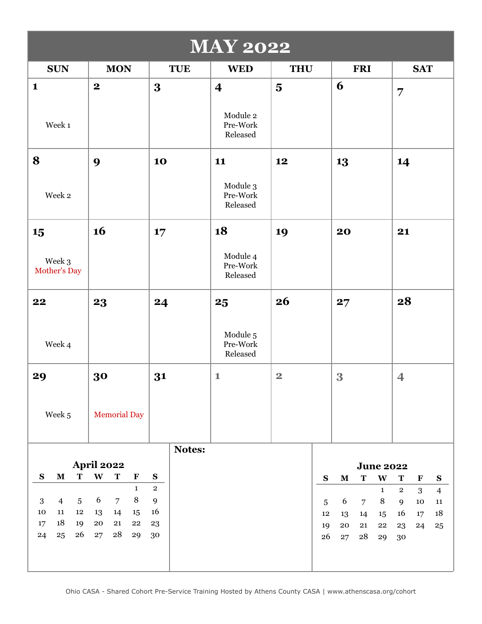| <b>MAY 2022</b>                |                |                                   |                     |              |              |            |                                  |                         |                |                  |                |                       |                |             |                             |
|--------------------------------|----------------|-----------------------------------|---------------------|--------------|--------------|------------|----------------------------------|-------------------------|----------------|------------------|----------------|-----------------------|----------------|-------------|-----------------------------|
| <b>SUN</b>                     |                |                                   | <b>MON</b>          |              |              | <b>TUE</b> | <b>WED</b>                       | <b>THU</b>              |                |                  | <b>FRI</b>     |                       |                | <b>SAT</b>  |                             |
| $\mathbf{1}$                   |                | $\boldsymbol{2}$                  |                     |              | $\bf{3}$     |            | $\overline{\mathbf{4}}$          | $\overline{\mathbf{5}}$ |                | 6                |                |                       | $\overline{7}$ |             |                             |
| Week 1                         |                |                                   |                     |              |              |            | Module 2<br>Pre-Work<br>Released |                         |                |                  |                |                       |                |             |                             |
| 8                              |                | 9                                 |                     |              | 10           |            | 11                               | 12                      |                | 13               |                |                       | 14             |             |                             |
| Week 2                         |                |                                   |                     |              |              |            | Module 3<br>Pre-Work<br>Released |                         |                |                  |                |                       |                |             |                             |
| 15                             |                | 16                                |                     |              | 17           |            | 18                               | 19                      |                | 20               |                |                       | 21             |             |                             |
| Week 3<br>Mother's Day         |                |                                   |                     |              |              |            | Module 4<br>Pre-Work<br>Released |                         |                |                  |                |                       |                |             |                             |
| 22                             |                | 23                                |                     |              | 24           |            | 25                               | 26                      |                | 27               |                |                       | 28             |             |                             |
| Week 4                         |                |                                   |                     |              |              |            | Module 5<br>Pre-Work<br>Released |                         |                |                  |                |                       |                |             |                             |
| 29                             |                | 30                                |                     |              | 31           |            | $\mathbf{1}$                     | $\overline{\mathbf{2}}$ |                | 3                |                |                       | 4              |             |                             |
| Week 5                         |                |                                   | <b>Memorial Day</b> |              |              |            |                                  |                         |                |                  |                |                       |                |             |                             |
|                                |                |                                   |                     |              |              | Notes:     |                                  |                         |                |                  |                |                       |                |             |                             |
| ${\bf S}$<br>${\bf M}$         | $\mathbf T$    | <b>April 2022</b><br>$\mathbf{W}$ | $\mathbf T$         | $\mathbf F$  | ${\bf S}$    |            |                                  |                         | ${\bf S}$      | $\mathbf M$      | $\mathbf T$    | <b>June 2022</b><br>W | $\mathbf T$    | $\mathbf F$ |                             |
|                                |                |                                   |                     | $\mathbf{1}$ | $\mathbf{2}$ |            |                                  |                         |                |                  |                | $\mathbf 1$           | $\mathbf{2}$   | 3           | ${\bf S}$<br>$\overline{4}$ |
| $\mathbf{3}$<br>$\overline{4}$ | $\overline{5}$ | 6                                 | $\overline{7}$      | 8            | $\mathbf{9}$ |            |                                  |                         | $\overline{5}$ | 6                | $\overline{7}$ | $\,8\,$               | 9              | $10\,$      | ${\bf 11}$                  |
| 10<br>11<br>18<br>17           | $12\,$<br>19   | 13<br>${\bf 20}$                  | 14<br>21            | 15<br>22     | 16<br>23     |            |                                  |                         | 12             | 13               | 14             | 15                    | 16             | 17          | $18\,$                      |
| 25<br>24                       | 26             | ${\bf 27}$                        | ${\bf 28}$          | 29           | 30           |            |                                  |                         | 19<br>26       | ${\bf 20}$<br>27 | 21<br>28       | ${\bf 22}$<br>29      | 23<br>30       | 24          | 25                          |
|                                |                |                                   |                     |              |              |            |                                  |                         |                |                  |                |                       |                |             |                             |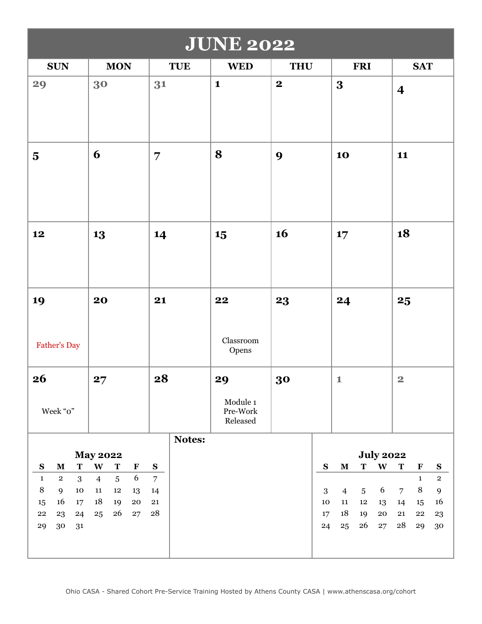| <b>JUNE 2022</b>                                                             |                                                                                     |                             |                                        |                         |            |                |                |                  |                  |                            |                    |
|------------------------------------------------------------------------------|-------------------------------------------------------------------------------------|-----------------------------|----------------------------------------|-------------------------|------------|----------------|----------------|------------------|------------------|----------------------------|--------------------|
| <b>SUN</b>                                                                   | <b>MON</b>                                                                          | <b>TUE</b>                  | <b>WED</b>                             | <b>THU</b>              |            |                | <b>FRI</b>     |                  |                  | <b>SAT</b>                 |                    |
| 29                                                                           | 30                                                                                  | 31                          | $\mathbf{1}$                           | $\overline{\mathbf{2}}$ |            | 3              |                |                  | $\boldsymbol{4}$ |                            |                    |
| $\overline{\mathbf{5}}$                                                      | 6                                                                                   | $\overline{7}$              | 8                                      | 9                       |            | 10             |                |                  | 11               |                            |                    |
| 12                                                                           | 13                                                                                  | 14                          | 15                                     | 16                      |            | 17             |                |                  | 18               |                            |                    |
| 19<br>Father's Day                                                           | 20                                                                                  | 21                          | 22<br>Classroom<br>Opens               | 23                      |            | 24             |                |                  | 25               |                            |                    |
| 26<br>Week "o"                                                               | 27                                                                                  | 28                          | 29<br>Module 1<br>Pre-Work<br>Released | 30                      |            | $\mathbf 1$    |                |                  | $\overline{2}$   |                            |                    |
|                                                                              |                                                                                     | Notes:                      |                                        |                         |            |                |                |                  |                  |                            |                    |
|                                                                              | <b>May 2022</b>                                                                     |                             |                                        |                         |            |                | ${\bf T}$      | <b>July 2022</b> | $\mathbf T$      |                            |                    |
| $\mathbf T$<br>${\bf S}$<br>$\mathbf M$<br>3<br>$\mathbf{1}$<br>$\mathbf{2}$ | $\mathbf{W}$<br>$\mathbf T$<br>$\mathbf F$<br>6<br>$\overline{5}$<br>$\overline{4}$ | ${\bf S}$<br>$\overline{7}$ |                                        |                         | ${\bf S}$  | $\mathbf M$    |                | $\mathbf{W}$     |                  | $\mathbf F$<br>$\mathbf 1$ | ${\bf S}$<br>$\,2$ |
| $\, 8$<br>9<br>10                                                            | ${\bf 11}$<br>$12\,$<br>13                                                          | 14                          |                                        |                         | $\sqrt{3}$ | $\overline{4}$ | $\overline{5}$ | 6                | $\overline{7}$   | $\, 8$                     | $\overline{9}$     |
| 16<br>17<br>$15\,$                                                           | $18\,$<br>19<br>20                                                                  | ${\bf 21}$                  |                                        |                         | $10\,$     | ${\bf 11}$     | $12\,$         | 13               | 14               | $15\,$                     | 16                 |
| ${\bf 22}$<br>23<br>24                                                       | 26<br>27<br>25                                                                      | ${\bf 28}$                  |                                        |                         | 17         | 18             | 19             | ${\bf 20}$       | ${\bf 21}$       | 22                         | 23                 |
| 30<br>29<br>31                                                               |                                                                                     |                             |                                        |                         | 24         | 25             | 26             | 27               | ${\bf 28}$       | 29                         | 30                 |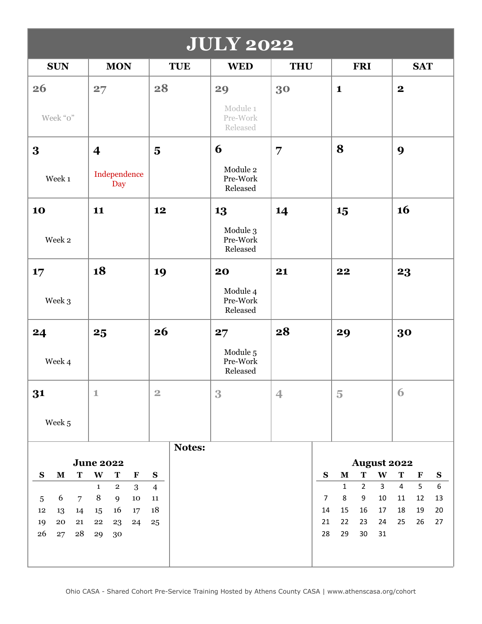| <b>JULY 2022</b>                         |                                                                |                         |                                  |                          |                                                                  |                                                    |  |  |  |  |
|------------------------------------------|----------------------------------------------------------------|-------------------------|----------------------------------|--------------------------|------------------------------------------------------------------|----------------------------------------------------|--|--|--|--|
| <b>SUN</b>                               | <b>MON</b>                                                     | <b>TUE</b>              | <b>WED</b>                       | <b>THU</b>               | <b>FRI</b>                                                       | <b>SAT</b>                                         |  |  |  |  |
| 26                                       | 27                                                             | 28                      | 29                               | 30                       | $\mathbf{1}$                                                     | $\mathbf{2}$                                       |  |  |  |  |
| Week "o"                                 |                                                                |                         | Module 1<br>Pre-Work<br>Released |                          |                                                                  |                                                    |  |  |  |  |
| 3                                        | $\overline{\mathbf{4}}$                                        | $\overline{\mathbf{5}}$ | 6                                | $\overline{7}$           | 8                                                                | 9                                                  |  |  |  |  |
| Week 1                                   | Independence<br>Day                                            |                         | Module 2<br>Pre-Work<br>Released |                          |                                                                  |                                                    |  |  |  |  |
| 10                                       | 11                                                             | 12                      | 13                               | 14                       | 15                                                               | 16                                                 |  |  |  |  |
| Week 2                                   |                                                                |                         | Module 3<br>Pre-Work<br>Released |                          |                                                                  |                                                    |  |  |  |  |
| 17                                       | 18                                                             | 19                      | 20                               | 21                       | 22                                                               | 23                                                 |  |  |  |  |
| Week 3                                   |                                                                |                         | Module 4<br>Pre-Work<br>Released |                          |                                                                  |                                                    |  |  |  |  |
| 24                                       | 25                                                             | 26                      | 27                               | 28                       | 29                                                               | 30                                                 |  |  |  |  |
| Week 4                                   |                                                                |                         | Module 5<br>Pre-Work<br>Released |                          |                                                                  |                                                    |  |  |  |  |
| 31                                       | $\mathbf 1$                                                    | $\overline{2}$          | 3                                | $\overline{\mathcal{A}}$ | $\overline{5}$                                                   | 6                                                  |  |  |  |  |
| Week 5                                   |                                                                |                         |                                  |                          |                                                                  |                                                    |  |  |  |  |
|                                          |                                                                | Notes:                  |                                  |                          |                                                                  |                                                    |  |  |  |  |
| S<br>$\mathbf T$<br>$\mathbf M$          | <b>June 2022</b><br>$\mathbf{W}$<br>$\mathbf T$<br>$\mathbf F$ | ${\bf S}$               |                                  | ${\bf S}$                | <b>August 2022</b><br>$\mathbf M$<br>$\mathbf T$<br>$\mathbf{W}$ | $\mathbf T$<br>$\mathbf F$<br>${\bf S}$            |  |  |  |  |
|                                          | 3<br>$\mathbf{1}$<br>$\overline{2}$                            | $\overline{4}$          |                                  |                          | $2^{\circ}$<br>$\overline{3}$<br>$\mathbf{1}$                    | $\overline{6}$<br>5 <sub>5</sub><br>$\overline{4}$ |  |  |  |  |
| 6<br>$\overline{7}$<br>$5\phantom{.0}$   | $\, 8$<br>9<br>10                                              | ${\bf 11}$              |                                  | $\overline{7}$           | 8<br>9<br>10                                                     | 13<br>12<br>11                                     |  |  |  |  |
| $12\,$<br>14<br>13                       | 16<br>15<br>17                                                 | 18                      |                                  | 14<br>21                 | 15<br>16<br>17<br>22                                             | 19<br>18<br>$20\,$                                 |  |  |  |  |
| ${\bf 20}$<br>19<br>21<br>26<br>28<br>27 | ${\bf 22}$<br>23<br>24<br>29<br>30                             | 25                      |                                  | 28                       | 23<br>24<br>29<br>30<br>31                                       | 25<br>26<br>27                                     |  |  |  |  |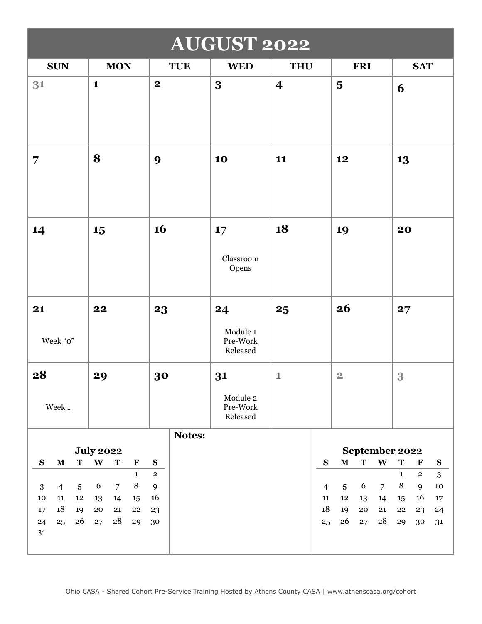| <b>AUGUST 2022</b>                                                                                                                         |                                                                                                                                                                              |                                                  |                                        |                                                   |                                                                                                                                                           |                                                                                                                                                                                   |  |  |  |  |
|--------------------------------------------------------------------------------------------------------------------------------------------|------------------------------------------------------------------------------------------------------------------------------------------------------------------------------|--------------------------------------------------|----------------------------------------|---------------------------------------------------|-----------------------------------------------------------------------------------------------------------------------------------------------------------|-----------------------------------------------------------------------------------------------------------------------------------------------------------------------------------|--|--|--|--|
| <b>SUN</b>                                                                                                                                 | <b>MON</b>                                                                                                                                                                   | <b>TUE</b>                                       | <b>WED</b>                             | <b>THU</b>                                        | <b>FRI</b>                                                                                                                                                | <b>SAT</b>                                                                                                                                                                        |  |  |  |  |
| 31                                                                                                                                         | $\mathbf{1}$                                                                                                                                                                 | $\boldsymbol{2}$                                 | $\overline{\mathbf{3}}$                | $\overline{\mathbf{4}}$                           | $\overline{\mathbf{5}}$                                                                                                                                   | 6                                                                                                                                                                                 |  |  |  |  |
| $\overline{7}$                                                                                                                             | 8                                                                                                                                                                            | 9                                                | 10                                     | 11                                                | 12                                                                                                                                                        | 13                                                                                                                                                                                |  |  |  |  |
| 14                                                                                                                                         | 15                                                                                                                                                                           | 16                                               | 17<br>Classroom<br>Opens               | 18                                                | 19                                                                                                                                                        | 20                                                                                                                                                                                |  |  |  |  |
| 21<br>Week "o"                                                                                                                             | 22                                                                                                                                                                           | 23                                               | 24<br>Module 1<br>Pre-Work<br>Released | 25                                                | 26                                                                                                                                                        | 27                                                                                                                                                                                |  |  |  |  |
| 28<br>Week 1                                                                                                                               | 29                                                                                                                                                                           | 30                                               | 31<br>Module 2<br>Pre-Work<br>Released | $\mathbf{1}$                                      | $\overline{2}$                                                                                                                                            | 3                                                                                                                                                                                 |  |  |  |  |
|                                                                                                                                            |                                                                                                                                                                              | Notes:                                           |                                        |                                                   |                                                                                                                                                           |                                                                                                                                                                                   |  |  |  |  |
|                                                                                                                                            | <b>July 2022</b>                                                                                                                                                             |                                                  |                                        |                                                   | September 2022                                                                                                                                            |                                                                                                                                                                                   |  |  |  |  |
| ${\bf S}$<br>$\mathbf M$<br>T<br>$\overline{4}$<br>$\overline{5}$<br>3<br>11<br>${\bf 12}$<br>10<br>18<br>19<br>17<br>26<br>24<br>25<br>31 | W<br>${\bf T}$<br>$\mathbf F$<br>$\mathbf{1}$<br>$\, 8$<br>6<br>$\overline{7}$<br>13<br>14<br>15<br>${\bf 20}$<br>${\bf 21}$<br>${\bf 22}$<br>${\bf 28}$<br>${\bf 27}$<br>29 | ${\bf S}$<br>$\mathbf{2}$<br>9<br>16<br>23<br>30 |                                        | ${\bf S}$<br>$\overline{4}$<br>$11\,$<br>18<br>25 | $\mathbf{W}$<br>$\mathbf M$<br>$\mathbf T$<br>6<br>$\overline{7}$<br>$5\phantom{.0}$<br>$\bf{12}$<br>13<br>14<br>19<br>${\bf 20}$<br>21<br>26<br>28<br>27 | $\mathbf T$<br>$\mathbf F$<br>${\bf S}$<br>$\mathbf 2$<br>$\mathbf{3}$<br>$\mathbf{1}$<br>$\, 8$<br>9<br>${\bf 10}$<br>16<br>15<br>17<br>${\bf 22}$<br>23<br>24<br>29<br>30<br>31 |  |  |  |  |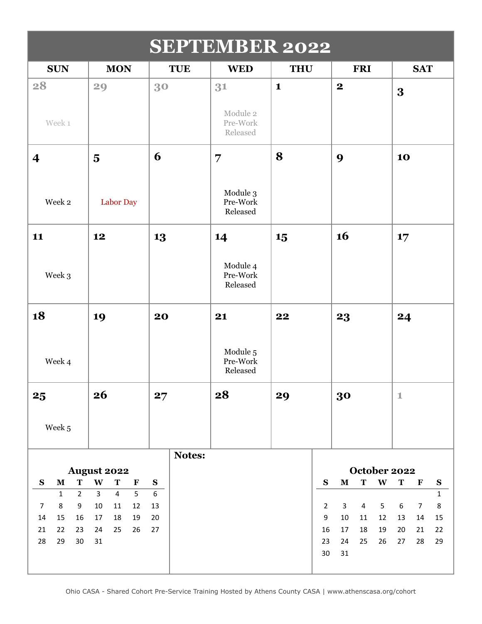| <b>SEPTEMBER 2022</b>                      |                                                         |                  |                                  |                                    |                                                 |                                                                 |  |  |  |  |  |
|--------------------------------------------|---------------------------------------------------------|------------------|----------------------------------|------------------------------------|-------------------------------------------------|-----------------------------------------------------------------|--|--|--|--|--|
| <b>SUN</b>                                 | <b>MON</b>                                              | <b>TUE</b>       | <b>WED</b>                       | <b>THU</b>                         | <b>FRI</b>                                      | <b>SAT</b>                                                      |  |  |  |  |  |
| 28                                         | 29                                                      | 30               | 31<br>Module 2                   | $\mathbf{1}$                       | $\boldsymbol{2}$                                | 3                                                               |  |  |  |  |  |
| Week 1                                     |                                                         |                  | Pre-Work<br>Released             |                                    |                                                 |                                                                 |  |  |  |  |  |
| $\overline{\mathbf{4}}$                    | $\overline{\mathbf{5}}$                                 | 6                | $\overline{7}$                   | 8                                  | 9                                               | 10                                                              |  |  |  |  |  |
| Week 2                                     | Labor Day                                               |                  | Module 3<br>Pre-Work<br>Released |                                    |                                                 |                                                                 |  |  |  |  |  |
| 11                                         | 12                                                      | 13               | 14                               | 15                                 | 16                                              | 17                                                              |  |  |  |  |  |
| Week 3                                     |                                                         |                  | Module 4<br>Pre-Work<br>Released |                                    |                                                 |                                                                 |  |  |  |  |  |
| 18                                         | 19                                                      | 20               | 21                               | 22                                 | 23                                              | 24                                                              |  |  |  |  |  |
| Week 4                                     |                                                         |                  | Module 5<br>Pre-Work<br>Released |                                    |                                                 |                                                                 |  |  |  |  |  |
| 25                                         | 26                                                      | 27               | 28                               | 29                                 | 30                                              | $\mathbbm{1}$                                                   |  |  |  |  |  |
| Week 5                                     |                                                         |                  |                                  |                                    |                                                 |                                                                 |  |  |  |  |  |
|                                            |                                                         | Notes:           |                                  |                                    |                                                 |                                                                 |  |  |  |  |  |
| T<br>S<br>${\bf M}$                        | <b>August 2022</b><br>$\mathbf{W}$<br>T<br>$\mathbf{F}$ | ${\bf S}$        |                                  | $\mathbf S$                        | October 2022<br>$\mathbf T$<br>W<br>$\mathbf M$ | T<br>$\mathbf F$<br>$\mathbf{s}$                                |  |  |  |  |  |
| $\overline{2}$<br>$\mathbf{1}$             | $\overline{4}$<br>5<br>$\overline{3}$                   | $\boldsymbol{6}$ |                                  |                                    |                                                 | $\mathbf{1}$                                                    |  |  |  |  |  |
| 8<br>9<br>$\overline{7}$<br>14<br>15<br>16 | $10\,$<br>11<br>12<br>18<br>17<br>19                    | 13<br>20         |                                  | $\overline{2}$<br>$\boldsymbol{9}$ | 5<br>3<br>4<br>$10\,$<br>12<br>11               | $\,8\,$<br>$\boldsymbol{6}$<br>$\overline{7}$<br>15<br>13<br>14 |  |  |  |  |  |
| 22<br>21<br>23                             | 24<br>25<br>26                                          | 27               |                                  | 16                                 | 17<br>18<br>19                                  | 20<br>21<br>22                                                  |  |  |  |  |  |
| 28<br>29<br>30                             | 31                                                      |                  |                                  | 23<br>$30\,$                       | 24<br>25<br>26<br>31                            | 28<br>29<br>27                                                  |  |  |  |  |  |
|                                            |                                                         |                  |                                  |                                    |                                                 |                                                                 |  |  |  |  |  |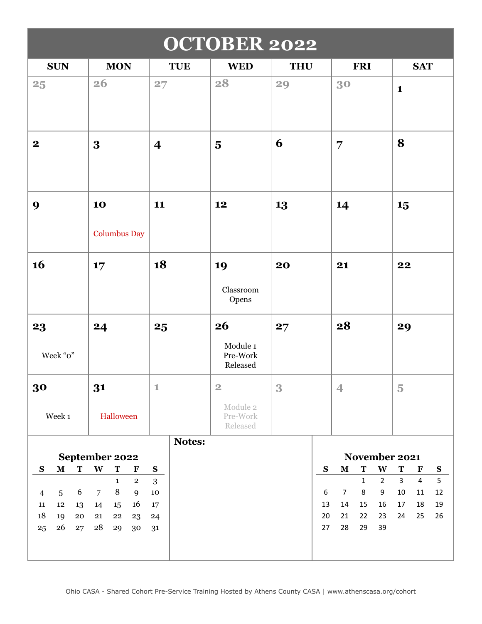|                                          | <b>OCTOBER 2022</b>                                          |                         |                                  |                  |                                                  |                                            |  |  |  |  |
|------------------------------------------|--------------------------------------------------------------|-------------------------|----------------------------------|------------------|--------------------------------------------------|--------------------------------------------|--|--|--|--|
| <b>SUN</b>                               | <b>MON</b>                                                   | <b>TUE</b>              | <b>WED</b>                       | <b>THU</b>       | <b>FRI</b>                                       | <b>SAT</b>                                 |  |  |  |  |
| 25                                       | 26                                                           | 27                      | 28                               | 29               | 30                                               | $\mathbf{1}$                               |  |  |  |  |
| $\boldsymbol{2}$                         | 3                                                            | $\overline{\mathbf{4}}$ | $\overline{\mathbf{5}}$          | 6                | $\overline{7}$                                   | 8                                          |  |  |  |  |
| 9                                        | 10<br><b>Columbus Day</b>                                    | 11                      | 12                               | 13               | 14                                               | 15                                         |  |  |  |  |
|                                          |                                                              |                         |                                  |                  |                                                  |                                            |  |  |  |  |
| 16                                       | 17                                                           | 18                      | 19                               | 20               | 21                                               | 22                                         |  |  |  |  |
|                                          |                                                              |                         | Classroom<br>Opens               |                  |                                                  |                                            |  |  |  |  |
| 23                                       | 24                                                           | 25                      | 26                               | 27               | 28                                               | 29                                         |  |  |  |  |
| Week "o"                                 |                                                              |                         | Module 1<br>Pre-Work<br>Released |                  |                                                  |                                            |  |  |  |  |
| 30                                       | 31                                                           | $\mathbf 1$             | $\overline{2}$                   | 3                | $\overline{4}$                                   | $\overline{5}$                             |  |  |  |  |
| Week 1                                   | Halloween                                                    |                         | Module 2<br>Pre-Work<br>Released |                  |                                                  |                                            |  |  |  |  |
|                                          |                                                              | Notes:                  |                                  |                  |                                                  |                                            |  |  |  |  |
| S<br>$\mathbf M$<br>$\mathbf T$          | September 2022<br>$\mathbf{W}$<br>$\mathbf T$<br>$\mathbf F$ | $\mathbf{s}$            |                                  | ${\bf S}$        | November 2021<br>$\mathbf M$<br>$\mathbf T$<br>W | $\mathbf T$<br>$\mathbf F$<br>$\mathbf{s}$ |  |  |  |  |
|                                          | $\mathbf 2$<br>$\mathbf{1}$                                  | $\overline{3}$          |                                  |                  | $\overline{2}$<br>$\mathbf{1}$                   | 5<br>$\overline{4}$<br>$\mathbf{3}$        |  |  |  |  |
| 6<br>$\overline{5}$<br>$\overline{4}$    | $\, 8$<br>$\overline{7}$<br>9                                | $10\,$                  |                                  | $\boldsymbol{6}$ | 9<br>$\overline{7}$<br>8                         | $12\,$<br>$10\,$<br>$11\,$                 |  |  |  |  |
| $12\,$<br>$11\,$<br>13                   | 16<br>14<br>15                                               | $17\,$                  |                                  | 13               | 14<br>15<br>16                                   | $17\,$<br>18<br>$19\,$                     |  |  |  |  |
| 18<br>19<br>${\bf 20}$<br>26<br>25<br>27 | 21<br>${\bf 22}$<br>23<br>${\bf 28}$<br>29<br>30             | 24<br>31                |                                  | 20<br>27         | 21<br>22<br>23<br>28<br>29<br>39                 | 25<br>24<br>26                             |  |  |  |  |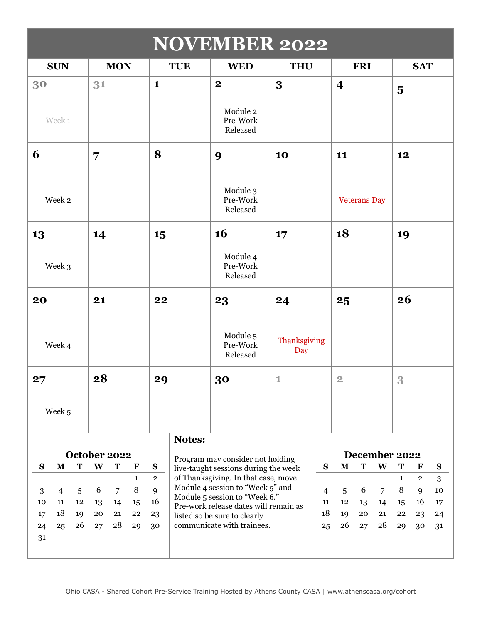| <b>NOVEMBER 2022</b>                                                                                         |                                                                                                                                 |                                                     |                                                                                                                                                                                                                                                                                                                                                                                                                          |                     |           |                         |                     |   |                                                     |                                            |  |  |
|--------------------------------------------------------------------------------------------------------------|---------------------------------------------------------------------------------------------------------------------------------|-----------------------------------------------------|--------------------------------------------------------------------------------------------------------------------------------------------------------------------------------------------------------------------------------------------------------------------------------------------------------------------------------------------------------------------------------------------------------------------------|---------------------|-----------|-------------------------|---------------------|---|-----------------------------------------------------|--------------------------------------------|--|--|
| <b>SUN</b>                                                                                                   | <b>MON</b>                                                                                                                      | <b>TUE</b>                                          | <b>WED</b>                                                                                                                                                                                                                                                                                                                                                                                                               | <b>THU</b>          |           |                         | <b>FRI</b>          |   |                                                     | <b>SAT</b>                                 |  |  |
| 30                                                                                                           | 31                                                                                                                              | $\mathbf{1}$                                        | $\mathbf{2}$                                                                                                                                                                                                                                                                                                                                                                                                             | 3                   |           | $\overline{\mathbf{4}}$ |                     |   | $\overline{\mathbf{5}}$                             |                                            |  |  |
| Week 1                                                                                                       |                                                                                                                                 |                                                     | Module 2<br>Pre-Work<br>Released                                                                                                                                                                                                                                                                                                                                                                                         |                     |           |                         |                     |   |                                                     |                                            |  |  |
| 6                                                                                                            | 7                                                                                                                               | 8                                                   | 9                                                                                                                                                                                                                                                                                                                                                                                                                        | 10                  |           | 11                      |                     |   | 12                                                  |                                            |  |  |
| Week 2                                                                                                       |                                                                                                                                 |                                                     | Module 3<br>Pre-Work<br>Released                                                                                                                                                                                                                                                                                                                                                                                         |                     |           |                         | <b>Veterans Day</b> |   |                                                     |                                            |  |  |
| 13                                                                                                           | 14                                                                                                                              | 15                                                  | 16                                                                                                                                                                                                                                                                                                                                                                                                                       | 17                  |           | 18                      |                     |   | 19                                                  |                                            |  |  |
| Week 3                                                                                                       |                                                                                                                                 |                                                     | Module 4<br>Pre-Work<br>Released                                                                                                                                                                                                                                                                                                                                                                                         |                     |           |                         |                     |   |                                                     |                                            |  |  |
| 20                                                                                                           | 21                                                                                                                              | 22                                                  | 23                                                                                                                                                                                                                                                                                                                                                                                                                       | 24                  |           | 25                      |                     |   | 26                                                  |                                            |  |  |
| Week 4                                                                                                       |                                                                                                                                 |                                                     | Module 5<br>Pre-Work<br>Released                                                                                                                                                                                                                                                                                                                                                                                         | Thanksgiving<br>Day |           |                         |                     |   |                                                     |                                            |  |  |
| 27                                                                                                           | 28                                                                                                                              | 29                                                  | 30                                                                                                                                                                                                                                                                                                                                                                                                                       | 1                   |           | $\overline{2}$          |                     |   | 3                                                   |                                            |  |  |
| Week 5                                                                                                       |                                                                                                                                 |                                                     |                                                                                                                                                                                                                                                                                                                                                                                                                          |                     |           |                         |                     |   |                                                     |                                            |  |  |
|                                                                                                              |                                                                                                                                 | <b>Notes:</b>                                       |                                                                                                                                                                                                                                                                                                                                                                                                                          |                     |           |                         |                     |   |                                                     |                                            |  |  |
| $\mathbf{s}$<br>$\mathbf M$<br>T                                                                             | October 2022<br>W                                                                                                               |                                                     | Program may consider not holding                                                                                                                                                                                                                                                                                                                                                                                         |                     | ${\bf S}$ | $\mathbf M$             | December 2022<br>T  | W | T                                                   |                                            |  |  |
| $\mathbf{3}$<br>$\overline{4}$<br>$\overline{5}$<br>11<br>12<br>10<br>18<br>17<br>19<br>26<br>24<br>25<br>31 | T<br>$\mathbf F$<br>$\mathbf{1}$<br>$\, 8$<br>6<br>$\overline{7}$<br>13<br>14<br>15<br>20<br>21<br>22<br>${\bf 28}$<br>27<br>29 | $\mathbf{S}$<br>$\mathbf{2}$<br>9<br>16<br>23<br>30 | live-taught sessions during the week<br>of Thanksgiving. In that case, move<br>$\mathbf{1}$<br>Module 4 session to "Week 5" and<br>8<br>$\overline{7}$<br>$\overline{4}$<br>6<br>5<br>Module 5 session to "Week 6."<br>11<br>$12\,$<br>13<br>14<br>15<br>Pre-work release dates will remain as<br>18<br>19<br>20<br>21<br>22<br>listed so be sure to clearly<br>communicate with trainees.<br>26<br>28<br>25<br>27<br>29 |                     |           |                         |                     |   | $\mathbf{F}$<br>$\mathbf{2}$<br>9<br>16<br>23<br>30 | ${\bf S}$<br>3<br>$10\,$<br>17<br>24<br>31 |  |  |